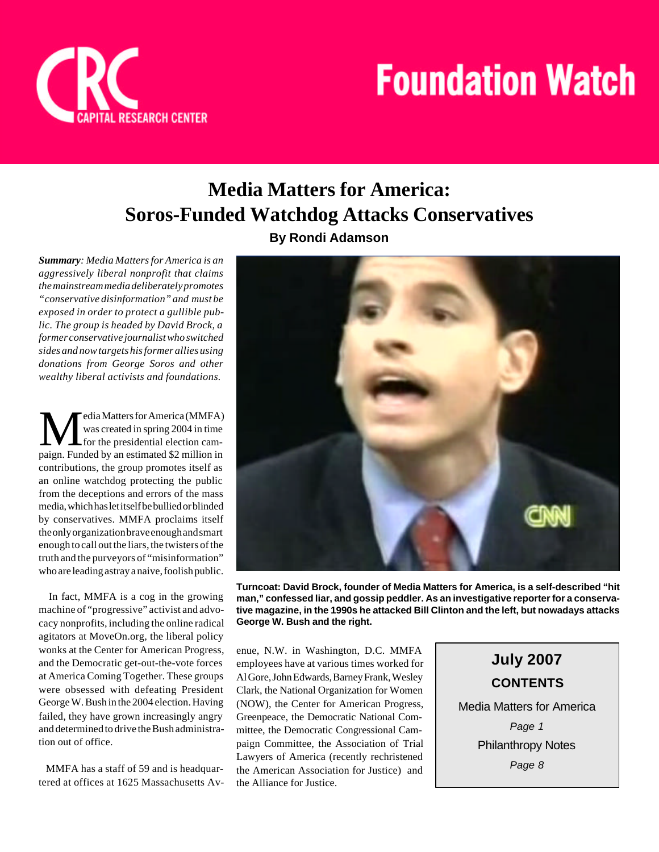

## **Media Matters for America: Soros-Funded Watchdog Attacks Conservatives By Rondi Adamson**

*Summary: Media Matters for America is an aggressively liberal nonprofit that claims the mainstream media deliberately promotes "conservative disinformation" and must be exposed in order to protect a gullible public. The group is headed by David Brock, a former conservative journalist who switched sides and now targets his former allies using donations from George Soros and other wealthy liberal activists and foundations.*

**M** edia Matters for America (MMFA)<br>for the presidential election campaign. Funded by an estimated \$2 million in edia Matters for America (MMFA) was created in spring 2004 in time for the presidential election camcontributions, the group promotes itself as an online watchdog protecting the public from the deceptions and errors of the mass media, which has let itself be bullied or blinded by conservatives. MMFA proclaims itself the only organization brave enough and smart enough to call out the liars, the twisters of the truth and the purveyors of "misinformation" who are leading astray a naive, foolish public.

 In fact, MMFA is a cog in the growing machine of "progressive" activist and advocacy nonprofits, including the online radical agitators at MoveOn.org, the liberal policy wonks at the Center for American Progress, and the Democratic get-out-the-vote forces at America Coming Together. These groups were obsessed with defeating President George W. Bush in the 2004 election. Having failed, they have grown increasingly angry and determined to drive the Bush administration out of office.

 MMFA has a staff of 59 and is headquartered at offices at 1625 Massachusetts Av-



**Turncoat: David Brock, founder of Media Matters for America, is a self-described "hit man," confessed liar, and gossip peddler. As an investigative reporter for a conservative magazine, in the 1990s he attacked Bill Clinton and the left, but nowadays attacks George W. Bush and the right.**

enue, N.W. in Washington, D.C. MMFA employees have at various times worked for Al Gore, John Edwards, Barney Frank, Wesley Clark, the National Organization for Women (NOW), the Center for American Progress, Greenpeace, the Democratic National Committee, the Democratic Congressional Campaign Committee, the Association of Trial Lawyers of America (recently rechristened the American Association for Justice) and the Alliance for Justice.

## **July 2007 CONTENTS**

Media Matters for America *Page 1* Philanthropy Notes *Page 8*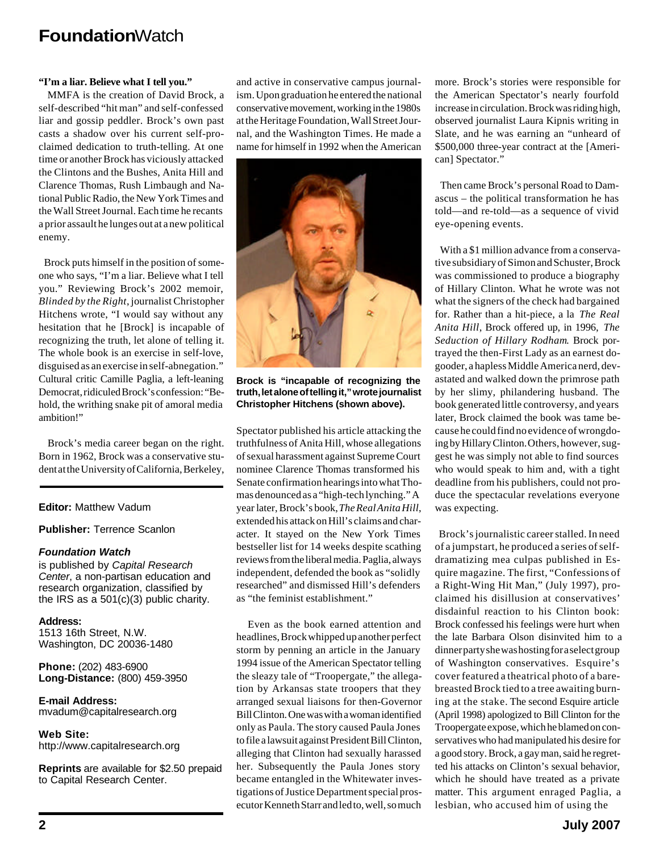#### **"I'm a liar. Believe what I tell you."**

 MMFA is the creation of David Brock, a self-described "hit man" and self-confessed liar and gossip peddler. Brock's own past casts a shadow over his current self-proclaimed dedication to truth-telling. At one time or another Brock has viciously attacked the Clintons and the Bushes, Anita Hill and Clarence Thomas, Rush Limbaugh and National Public Radio, the New York Times and the Wall Street Journal. Each time he recants a prior assault he lunges out at a new political enemy.

 Brock puts himself in the position of someone who says, "I'm a liar. Believe what I tell you." Reviewing Brock's 2002 memoir, *Blinded by the Right*, journalist Christopher Hitchens wrote, "I would say without any hesitation that he [Brock] is incapable of recognizing the truth, let alone of telling it. The whole book is an exercise in self-love, disguised as an exercise in self-abnegation." Cultural critic Camille Paglia, a left-leaning Democrat, ridiculed Brock's confession: "Behold, the writhing snake pit of amoral media ambition!"

 Brock's media career began on the right. Born in 1962, Brock was a conservative student at the University of California, Berkeley,

#### **Editor:** Matthew Vadum

**Publisher:** Terrence Scanlon

#### *Foundation Watch*

is published by *Capital Research Center*, a non-partisan education and research organization, classified by the IRS as a 501(c)(3) public charity.

**Address:** 1513 16th Street, N.W. Washington, DC 20036-1480

**Phone:** (202) 483-6900 **Long-Distance:** (800) 459-3950

**E-mail Address:** mvadum@capitalresearch.org

**Web Site:** http://www.capitalresearch.org

**Reprints** are available for \$2.50 prepaid to Capital Research Center.

and active in conservative campus journalism. Upon graduation he entered the national conservative movement, working in the 1980s at the Heritage Foundation, Wall Street Journal, and the Washington Times. He made a name for himself in 1992 when the American



**Brock is "incapable of recognizing the truth, let alone of telling it," wrote journalist Christopher Hitchens (shown above).**

Spectator published his article attacking the truthfulness of Anita Hill, whose allegations of sexual harassment against Supreme Court nominee Clarence Thomas transformed his Senate confirmation hearings into what Thomas denounced as a "high-tech lynching." A year later, Brock's book, *The Real Anita Hill*, extended his attack on Hill's claims and character. It stayed on the New York Times bestseller list for 14 weeks despite scathing reviews from the liberal media. Paglia, always independent, defended the book as "solidly researched" and dismissed Hill's defenders as "the feminist establishment."

 Even as the book earned attention and headlines, Brock whipped up another perfect storm by penning an article in the January 1994 issue of the American Spectator telling the sleazy tale of "Troopergate," the allegation by Arkansas state troopers that they arranged sexual liaisons for then-Governor Bill Clinton. One was with a woman identified only as Paula. The story caused Paula Jones to file a lawsuit against President Bill Clinton, alleging that Clinton had sexually harassed her. Subsequently the Paula Jones story became entangled in the Whitewater investigations of Justice Department special prosecutor Kenneth Starr and led to, well, so much

more. Brock's stories were responsible for the American Spectator's nearly fourfold increase in circulation. Brock was riding high, observed journalist Laura Kipnis writing in Slate, and he was earning an "unheard of \$500,000 three-year contract at the [American] Spectator."

 Then came Brock's personal Road to Damascus – the political transformation he has told—and re-told—as a sequence of vivid eye-opening events.

 With a \$1 million advance from a conservative subsidiary of Simon and Schuster, Brock was commissioned to produce a biography of Hillary Clinton. What he wrote was not what the signers of the check had bargained for. Rather than a hit-piece, a la *The Real Anita Hill*, Brock offered up, in 1996, *The Seduction of Hillary Rodham*. Brock portrayed the then-First Lady as an earnest dogooder, a hapless Middle America nerd, devastated and walked down the primrose path by her slimy, philandering husband. The book generated little controversy, and years later, Brock claimed the book was tame because he could find no evidence of wrongdoing by Hillary Clinton.Others, however, suggest he was simply not able to find sources who would speak to him and, with a tight deadline from his publishers, could not produce the spectacular revelations everyone was expecting.

 Brock's journalistic career stalled. In need of a jumpstart, he produced a series of selfdramatizing mea culpas published in Esquire magazine. The first, "Confessions of a Right-Wing Hit Man," (July 1997), proclaimed his disillusion at conservatives' disdainful reaction to his Clinton book: Brock confessed his feelings were hurt when the late Barbara Olson disinvited him to a dinner party she was hosting for a select group of Washington conservatives. Esquire's cover featured a theatrical photo of a barebreasted Brock tied to a tree awaiting burning at the stake. The second Esquire article (April 1998) apologized to Bill Clinton for the Troopergate expose, which he blamed on conservatives who had manipulated his desire for a good story. Brock, a gay man, said he regretted his attacks on Clinton's sexual behavior, which he should have treated as a private matter. This argument enraged Paglia, a lesbian, who accused him of using the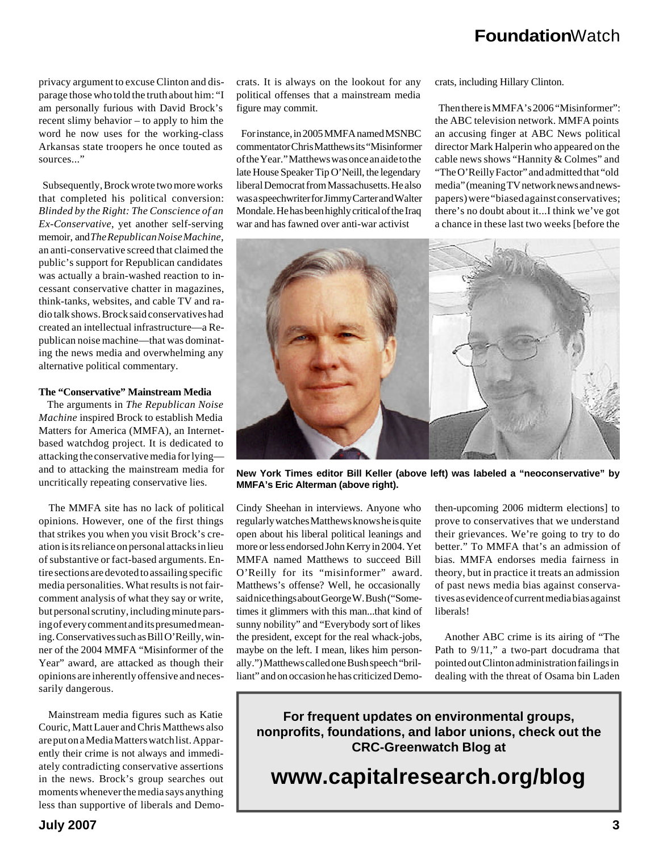privacy argument to excuse Clinton and disparage those who told the truth about him: "I am personally furious with David Brock's recent slimy behavior – to apply to him the word he now uses for the working-class Arkansas state troopers he once touted as sources..."

 Subsequently, Brock wrote two more works that completed his political conversion: *Blinded by the Right: The Conscience of an Ex-Conservative*, yet another self-serving memoir, and *The Republican Noise Machine*, an anti-conservative screed that claimed the public's support for Republican candidates was actually a brain-washed reaction to incessant conservative chatter in magazines, think-tanks, websites, and cable TV and radio talk shows. Brock said conservatives had created an intellectual infrastructure—a Republican noise machine—that was dominating the news media and overwhelming any alternative political commentary.

#### **The "Conservative" Mainstream Media**

 The arguments in *The Republican Noise Machine* inspired Brock to establish Media Matters for America (MMFA), an Internetbased watchdog project. It is dedicated to attacking the conservative media for lying and to attacking the mainstream media for uncritically repeating conservative lies.

 The MMFA site has no lack of political opinions. However, one of the first things that strikes you when you visit Brock's creation is its reliance on personal attacks in lieu of substantive or fact-based arguments. Entire sections are devoted to assailing specific media personalities. What results is not faircomment analysis of what they say or write, but personal scrutiny, including minute parsing of every comment and its presumed meaning. Conservatives such as Bill O'Reilly, winner of the 2004 MMFA "Misinformer of the Year" award, are attacked as though their opinions are inherently offensive and necessarily dangerous.

 Mainstream media figures such as Katie Couric, Matt Lauer and Chris Matthews also are put on a Media Matters watch list. Apparently their crime is not always and immediately contradicting conservative assertions in the news. Brock's group searches out moments whenever the media says anything less than supportive of liberals and Democrats. It is always on the lookout for any political offenses that a mainstream media figure may commit.

 For instance, in 2005 MMFA named MSNBC commentator Chris Matthews its "Misinformer of the Year." Matthews was once an aide to the late House Speaker Tip O'Neill, the legendary liberal Democrat from Massachusetts. He also was a speechwriter for Jimmy Carter and Walter Mondale. He has been highly critical of the Iraq war and has fawned over anti-war activist

crats, including Hillary Clinton.

 Then there is MMFA's 2006 "Misinformer": the ABC television network. MMFA points an accusing finger at ABC News political director Mark Halperin who appeared on the cable news shows "Hannity & Colmes" and "The O'Reilly Factor" and admitted that "old media" (meaning TV network news and newspapers) were "biased against conservatives; there's no doubt about it...I think we've got a chance in these last two weeks [before the



**New York Times editor Bill Keller (above left) was labeled a "neoconservative" by MMFA's Eric Alterman (above right).**

Cindy Sheehan in interviews. Anyone who regularly watches Matthews knows he is quite open about his liberal political leanings and more or less endorsed John Kerry in 2004. Yet MMFA named Matthews to succeed Bill O'Reilly for its "misinformer" award. Matthews's offense? Well, he occasionally said nice things about George W. Bush ("Sometimes it glimmers with this man...that kind of sunny nobility" and "Everybody sort of likes the president, except for the real whack-jobs, maybe on the left. I mean, likes him personally.") Matthews called one Bush speech "brilliant" and on occasion he has criticized Demothen-upcoming 2006 midterm elections] to prove to conservatives that we understand their grievances. We're going to try to do better." To MMFA that's an admission of bias. MMFA endorses media fairness in theory, but in practice it treats an admission of past news media bias against conservatives as evidence of current media bias against liberals!

 Another ABC crime is its airing of "The Path to 9/11," a two-part docudrama that pointed out Clinton administration failings in dealing with the threat of Osama bin Laden

**For frequent updates on environmental groups, nonprofits, foundations, and labor unions, check out the CRC-Greenwatch Blog at**

**www.capitalresearch.org/blog**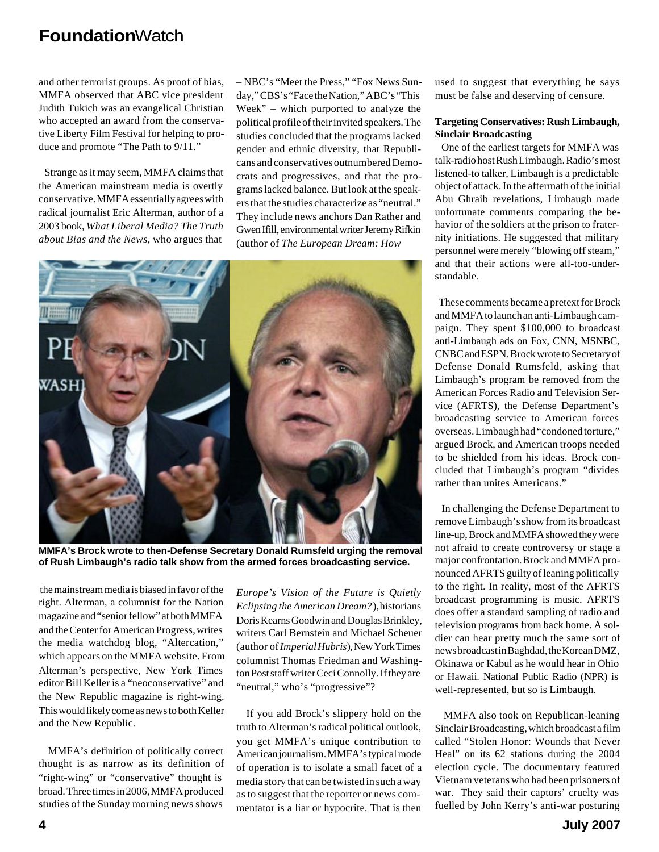and other terrorist groups. As proof of bias, MMFA observed that ABC vice president Judith Tukich was an evangelical Christian who accepted an award from the conservative Liberty Film Festival for helping to produce and promote "The Path to 9/11."

 Strange as it may seem, MMFA claims that the American mainstream media is overtly conservative.MMFA essentially agrees with radical journalist Eric Alterman, author of a 2003 book, *What Liberal Media? The Truth about Bias and the News*, who argues that

– NBC's "Meet the Press," "Fox News Sunday," CBS's "Face the Nation," ABC's "This Week" – which purported to analyze the political profile of their invited speakers. The studies concluded that the programs lacked gender and ethnic diversity, that Republicans and conservatives outnumbered Democrats and progressives, and that the programs lacked balance. But look at the speakers that the studies characterize as "neutral." They include news anchors Dan Rather and Gwen Ifill, environmental writer Jeremy Rifkin (author of *The European Dream: How*



**MMFA's Brock wrote to then-Defense Secretary Donald Rumsfeld urging the removal of Rush Limbaugh's radio talk show from the armed forces broadcasting service.**

 the mainstream media is biased in favor of the right. Alterman, a columnist for the Nation magazine and "senior fellow" at both MMFA and the Center for American Progress, writes the media watchdog blog, "Altercation," which appears on the MMFA website. From Alterman's perspective, New York Times editor Bill Keller is a "neoconservative" and the New Republic magazine is right-wing. This would likely come as news to both Keller and the New Republic.

 MMFA's definition of politically correct thought is as narrow as its definition of "right-wing" or "conservative" thought is broad. Three times in 2006, MMFA produced studies of the Sunday morning news shows

*Europe's Vision of the Future is Quietly Eclipsing the American Dream?*), historians Doris Kearns Goodwin and Douglas Brinkley, writers Carl Bernstein and Michael Scheuer (author of *Imperial Hubris*), New York Times columnist Thomas Friedman and Washington Post staff writer Ceci Connolly. If they are "neutral," who's "progressive"?

 If you add Brock's slippery hold on the truth to Alterman's radical political outlook, you get MMFA's unique contribution to American journalism. MMFA's typical mode of operation is to isolate a small facet of a media story that can be twisted in such a way as to suggest that the reporter or news commentator is a liar or hypocrite. That is then

used to suggest that everything he says must be false and deserving of censure.

#### **Targeting Conservatives: Rush Limbaugh, Sinclair Broadcasting**

 One of the earliest targets for MMFA was talk-radio host Rush Limbaugh. Radio's most listened-to talker, Limbaugh is a predictable object of attack. In the aftermath of the initial Abu Ghraib revelations, Limbaugh made unfortunate comments comparing the behavior of the soldiers at the prison to fraternity initiations. He suggested that military personnel were merely "blowing off steam," and that their actions were all-too-understandable.

 These comments became a pretext for Brock and MMFA to launch an anti-Limbaugh campaign. They spent \$100,000 to broadcast anti-Limbaugh ads on Fox, CNN, MSNBC, CNBC and ESPN. Brock wrote to Secretary of Defense Donald Rumsfeld, asking that Limbaugh's program be removed from the American Forces Radio and Television Service (AFRTS), the Defense Department's broadcasting service to American forces overseas. Limbaugh had "condoned torture," argued Brock, and American troops needed to be shielded from his ideas. Brock concluded that Limbaugh's program "divides rather than unites Americans."

 In challenging the Defense Department to remove Limbaugh's show from its broadcast line-up, Brock and MMFA showed they were not afraid to create controversy or stage a major confrontation.Brock and MMFA pronounced AFRTS guilty of leaning politically to the right. In reality, most of the AFRTS broadcast programming is music. AFRTS does offer a standard sampling of radio and television programs from back home. A soldier can hear pretty much the same sort of news broadcast in Baghdad, the Korean DMZ, Okinawa or Kabul as he would hear in Ohio or Hawaii. National Public Radio (NPR) is well-represented, but so is Limbaugh.

 MMFA also took on Republican-leaning Sinclair Broadcasting, which broadcast a film called "Stolen Honor: Wounds that Never Heal" on its 62 stations during the 2004 election cycle. The documentary featured Vietnam veterans who had been prisoners of war. They said their captors' cruelty was fuelled by John Kerry's anti-war posturing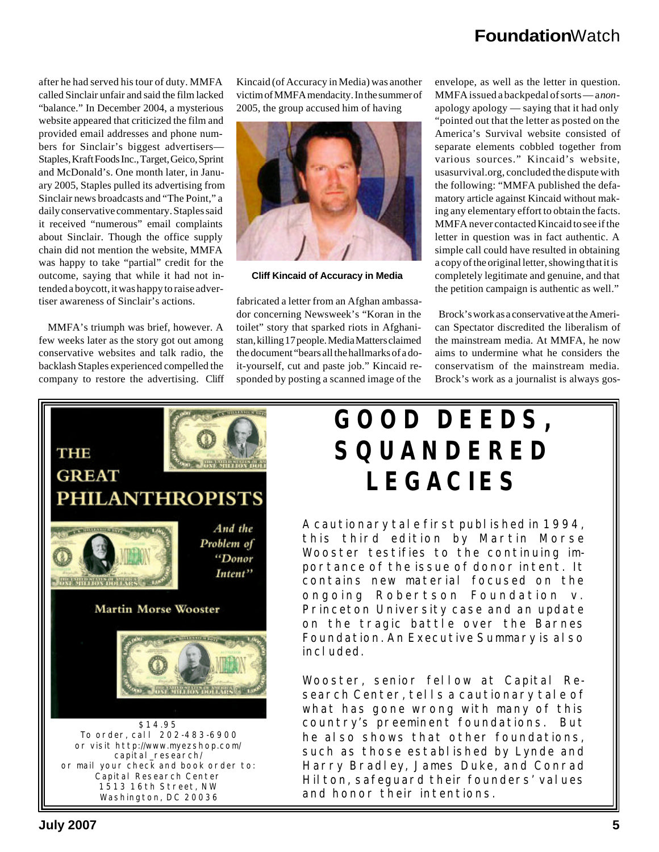after he had served his tour of duty. MMFA called Sinclair unfair and said the film lacked "balance." In December 2004, a mysterious website appeared that criticized the film and provided email addresses and phone numbers for Sinclair's biggest advertisers— Staples, Kraft Foods Inc., Target, Geico, Sprint and McDonald's. One month later, in January 2005, Staples pulled its advertising from Sinclair news broadcasts and "The Point," a daily conservative commentary. Staples said it received "numerous" email complaints about Sinclair. Though the office supply chain did not mention the website, MMFA was happy to take "partial" credit for the outcome, saying that while it had not intended a boycott, it was happy to raise advertiser awareness of Sinclair's actions.

 MMFA's triumph was brief, however. A few weeks later as the story got out among conservative websites and talk radio, the backlash Staples experienced compelled the company to restore the advertising. Cliff

Kincaid (of Accuracy in Media) was another victim of MMFA mendacity. In the summer of 2005, the group accused him of having



**Cliff Kincaid of Accuracy in Media**

fabricated a letter from an Afghan ambassador concerning Newsweek's "Koran in the toilet" story that sparked riots in Afghanistan, killing 17 people. Media Matters claimed the document "bears all the hallmarks of a doit-yourself, cut and paste job." Kincaid responded by posting a scanned image of the

envelope, as well as the letter in question. MMFA issued a backpedal of sorts — a *non*apology apology — saying that it had only "pointed out that the letter as posted on the America's Survival website consisted of separate elements cobbled together from various sources." Kincaid's website, usasurvival.org, concluded the dispute with the following: "MMFA published the defamatory article against Kincaid without making any elementary effort to obtain the facts. MMFA never contacted Kincaid to see if the letter in question was in fact authentic. A simple call could have resulted in obtaining a copy of the original letter, showing that it is completely legitimate and genuine, and that the petition campaign is authentic as well."

 Brock's work as a conservative at the American Spectator discredited the liberalism of the mainstream media. At MMFA, he now aims to undermine what he considers the conservatism of the mainstream media. Brock's work as a journalist is always gos-



## **GOOD DEEDS, SQUANDERED LEGACIES**

A cautionary tale first published in 1994, this third edition by Martin Morse Wooster testifies to the continuing importance of the issue of donor intent. It contains new material focused on the ongoing *Robertson Foundation v. Princeton University* case and an update on the tragic battle over the Barnes Foundation. An Executive Summary is also included.

Wooster, senior fellow at Capital Research Center, tells a cautionary tale of what has gone wrong with many of this country's preeminent foundations. But he also shows that other foundations, such as those established by Lynde and Harry Bradley, James Duke, and Conrad Hilton, safequard their founders' values and honor their intentions.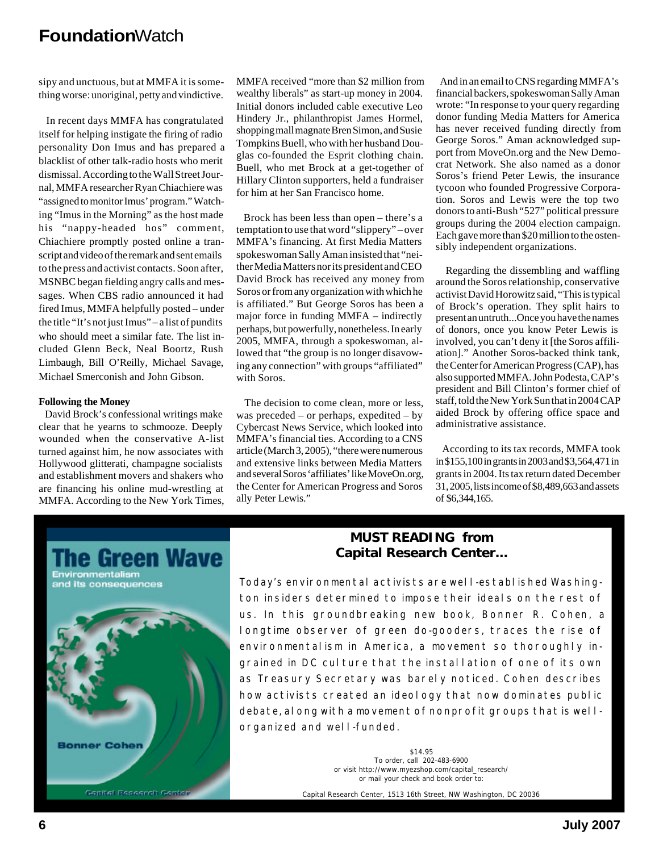sipy and unctuous, but at MMFA it is something worse: unoriginal, petty and vindictive.

 In recent days MMFA has congratulated itself for helping instigate the firing of radio personality Don Imus and has prepared a blacklist of other talk-radio hosts who merit dismissal. According to the Wall Street Journal, MMFA researcher Ryan Chiachiere was "assigned to monitor Imus' program." Watching "Imus in the Morning" as the host made his "nappy-headed hos" comment, Chiachiere promptly posted online a transcript and video of the remark and sent emails to the press and activist contacts. Soon after, MSNBC began fielding angry calls and messages. When CBS radio announced it had fired Imus, MMFA helpfully posted – under the title "It's not just Imus" – a list of pundits who should meet a similar fate. The list included Glenn Beck, Neal Boortz, Rush Limbaugh, Bill O'Reilly, Michael Savage, Michael Smerconish and John Gibson.

#### **Following the Money**

 David Brock's confessional writings make clear that he yearns to schmooze. Deeply wounded when the conservative A-list turned against him, he now associates with Hollywood glitterati, champagne socialists and establishment movers and shakers who are financing his online mud-wrestling at MMFA. According to the New York Times,

MMFA received "more than \$2 million from wealthy liberals" as start-up money in 2004. Initial donors included cable executive Leo Hindery Jr., philanthropist James Hormel, shopping mall magnate Bren Simon, and Susie Tompkins Buell, who with her husband Douglas co-founded the Esprit clothing chain. Buell, who met Brock at a get-together of Hillary Clinton supporters, held a fundraiser for him at her San Francisco home.

 Brock has been less than open – there's a temptation to use that word "slippery" – over MMFA's financing. At first Media Matters spokeswoman Sally Aman insisted that "neither Media Matters nor its president and CEO David Brock has received any money from Soros or from any organization with which he is affiliated." But George Soros has been a major force in funding MMFA – indirectly perhaps, but powerfully, nonetheless. In early 2005, MMFA, through a spokeswoman, allowed that "the group is no longer disavowing any connection" with groups "affiliated" with Soros.

 The decision to come clean, more or less, was preceded – or perhaps, expedited – by Cybercast News Service, which looked into MMFA's financial ties. According to a CNS article (March 3, 2005), "there were numerous and extensive links between Media Matters and several Soros 'affiliates' like MoveOn.org, the Center for American Progress and Soros ally Peter Lewis."

 And in an email to CNS regarding MMFA's financial backers, spokeswoman Sally Aman wrote: "In response to your query regarding donor funding Media Matters for America has never received funding directly from George Soros." Aman acknowledged support from MoveOn.org and the New Democrat Network. She also named as a donor Soros's friend Peter Lewis, the insurance tycoon who founded Progressive Corporation. Soros and Lewis were the top two donors to anti-Bush "527" political pressure groups during the 2004 election campaign. Each gave more than \$20 million to the ostensibly independent organizations.

 Regarding the dissembling and waffling around the Soros relationship, conservative activist David Horowitz said, "This is typical of Brock's operation. They split hairs to present an untruth...Once you have the names of donors, once you know Peter Lewis is involved, you can't deny it [the Soros affiliation]." Another Soros-backed think tank, the Center for American Progress (CAP), has also supported MMFA. John Podesta, CAP's president and Bill Clinton's former chief of staff, told the New York Sun that in 2004 CAP aided Brock by offering office space and administrative assistance.

 According to its tax records, MMFA took in \$155,100 in grants in 2003 and \$3,564,471 in grants in 2004. Its tax return dated December 31, 2005, lists income of \$8,489,663 and assets of \$6,344,165.



#### *MUST READING* **from Capital Research Center...**

Today's environmental activists are well-established Washington insiders determined to impose their ideals on the rest of us. In this groundbreaking new book, Bonner R. Cohen, a longtime observer of green do-gooders, traces the rise of environmentalism in America, a movement so thoroughly ingrained in DC cul ture that the install ation of one of its own as Treasury Secretary was barely noticed. Cohen describes how activists created an ideology that now dominates public debate, along with a movement of nonprofit groups that is wellorganized and well-funded.

> *\$14.95 To order, call* 202-483-6900 or visit http://www.myezshop.com/capital\_research/ *or mail your check and book order to:*

Capital Research Center, 1513 16th Street, NW Washington, DC 20036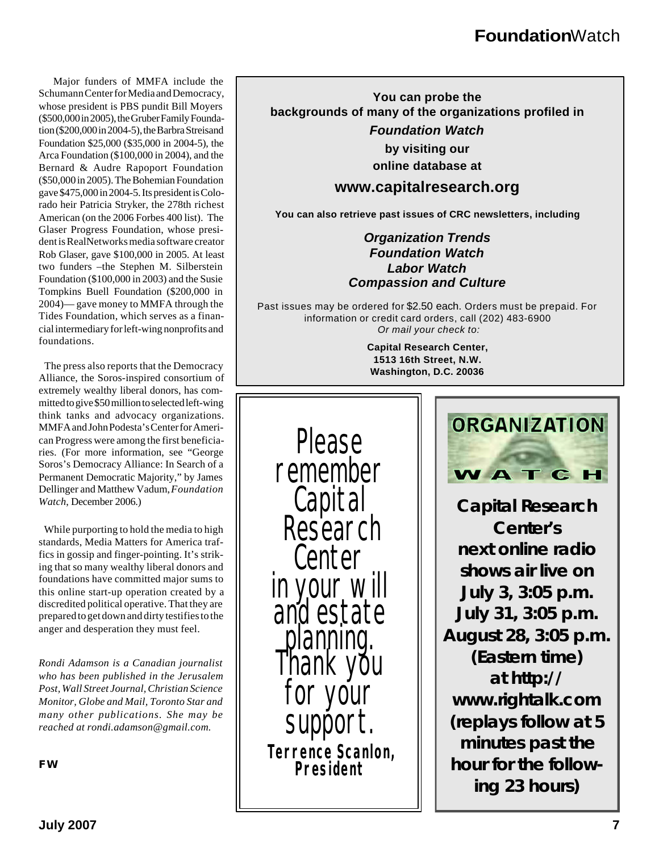Major funders of MMFA include the Schumann Center for Media and Democracy, whose president is PBS pundit Bill Moyers (\$500,000 in 2005), the Gruber Family Foundation (\$200,000 in 2004-5), the Barbra Streisand Foundation \$25,000 (\$35,000 in 2004-5), the Arca Foundation (\$100,000 in 2004), and the Bernard & Audre Rapoport Foundation (\$50,000 in 2005). The Bohemian Foundation gave \$475,000 in 2004-5. Its president is Colorado heir Patricia Stryker, the 278th richest American (on the 2006 Forbes 400 list). The Glaser Progress Foundation, whose president is RealNetworks media software creator Rob Glaser, gave \$100,000 in 2005. At least two funders –the Stephen M. Silberstein Foundation (\$100,000 in 2003) and the Susie Tompkins Buell Foundation (\$200,000 in 2004)— gave money to MMFA through the Tides Foundation, which serves as a financial intermediary for left-wing nonprofits and foundations.

 The press also reports that the Democracy Alliance, the Soros-inspired consortium of extremely wealthy liberal donors, has committed to give \$50 million to selected left-wing think tanks and advocacy organizations. MMFA and John Podesta's Center for American Progress were among the first beneficiaries. (For more information, see "George Soros's Democracy Alliance: In Search of a Permanent Democratic Majority," by James Dellinger and Matthew Vadum, *Foundation Watch*, December 2006.)

 While purporting to hold the media to high standards, Media Matters for America traffics in gossip and finger-pointing. It's striking that so many wealthy liberal donors and foundations have committed major sums to this online start-up operation created by a discredited political operative. That they are prepared to get down and dirty testifies to the anger and desperation they must feel.

*Rondi Adamson is a Canadian journalist who has been published in the Jerusalem who has been published in the Jerusalem Post, Wall Street Journal, Christian Science Post, Wall Street Journal, Christian Science Monitor, Globe and Mail, Toronto Star and Monitor, Globe and Mail, Toronto Star and* many other publications. She may be reached *at rondi.adamson@gmail.com. reached at rondi.adamson@gmail.com.Rondi Adamson is a Canadian journalist*

**You can probe the backgrounds of many of the organizations profiled in** *Foundation Watch*

> **by visiting our online database at**

#### **www.capitalresearch.org**

**You can also retrieve past issues of CRC newsletters, including**

#### *Organization Trends Foundation Watch Labor Watch Compassion and Culture*

Past issues may be ordered for \$2.50 each. Orders must be prepaid. For information or credit card orders, call (202) 483-6900 *Or mail your check to:*

> **Capital Research Center, 1513 16th Street, N.W. Washington, D.C. 20036**

Please remember Capital **Research** Center in your will and estate planning. Thank you vour SUPPOI *Terrence Scanlon, President FW*



**Capital Research Center's next online radio shows air live on July 3, 3:05 p.m. July 31, 3:05 p.m. August 28, 3:05 p.m. (Eastern time) at** *http:// www.rightalk.com* **(replays follow at 5 minutes past the hour for the following 23 hours)**